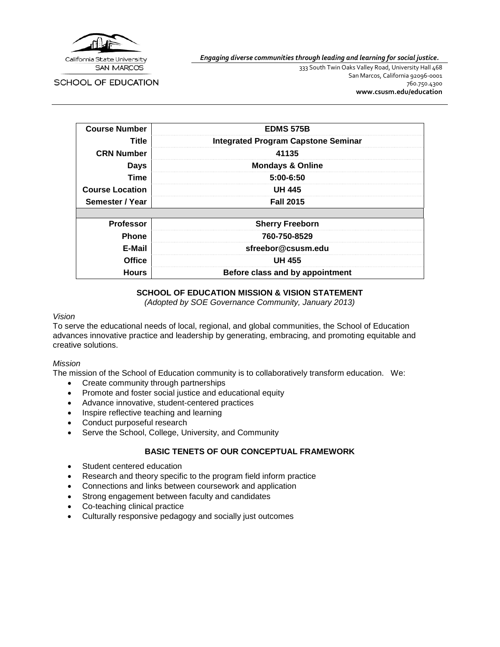

*Engaging diverse communities through leading and learning for social justice.*

**SCHOOL OF EDUCATION** 

333 South Twin Oaks Valley Road, University Hall 468 San Marcos, California 92096-0001 760.750.4300 **[www.csusm.edu/education](http://www.csusm.edu/education)**

| <b>Course Number</b>   | <b>EDMS 575B</b>                           |  |
|------------------------|--------------------------------------------|--|
| <b>Title</b>           | <b>Integrated Program Capstone Seminar</b> |  |
| <b>CRN Number</b>      | 41135                                      |  |
| <b>Days</b>            | <b>Mondays &amp; Online</b>                |  |
| Time                   | $5:00 - 6:50$                              |  |
| <b>Course Location</b> | <b>UH 445</b>                              |  |
| Semester / Year        | <b>Fall 2015</b>                           |  |
|                        |                                            |  |
| <b>Professor</b>       | <b>Sherry Freeborn</b>                     |  |
| <b>Phone</b>           | 760-750-8529                               |  |
| E-Mail                 | sfreebor@csusm.edu                         |  |
| <b>Office</b>          | <b>UH 455</b>                              |  |
| <b>Hours</b>           | Before class and by appointment            |  |

## **SCHOOL OF EDUCATION MISSION & VISION STATEMENT**

*(Adopted by SOE Governance Community, January 2013)*

#### *Vision*

To serve the educational needs of local, regional, and global communities, the School of Education advances innovative practice and leadership by generating, embracing, and promoting equitable and creative solutions.

#### *Mission*

The mission of the School of Education community is to collaboratively transform education. We:

- Create community through partnerships
- Promote and foster social justice and educational equity
- Advance innovative, student-centered practices
- Inspire reflective teaching and learning
- Conduct purposeful research
- Serve the School, College, University, and Community

## **BASIC TENETS OF OUR CONCEPTUAL FRAMEWORK**

- Student centered education
- Research and theory specific to the program field inform practice
- Connections and links between coursework and application
- Strong engagement between faculty and candidates
- Co-teaching clinical practice
- Culturally responsive pedagogy and socially just outcomes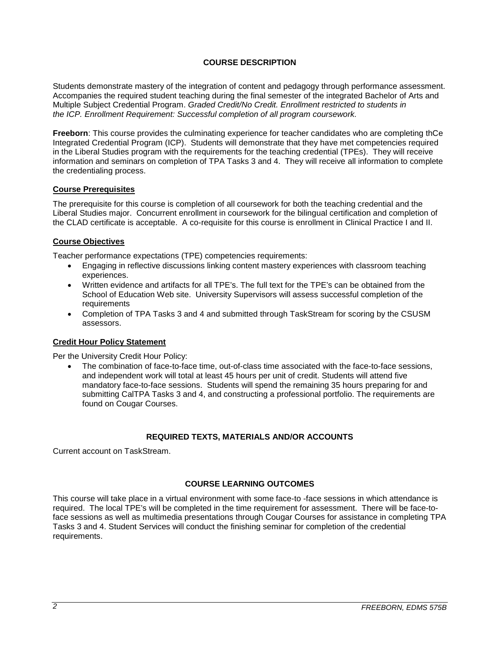# **COURSE DESCRIPTION**

Students demonstrate mastery of the integration of content and pedagogy through performance assessment. Accompanies the required student teaching during the final semester of the integrated Bachelor of Arts and Multiple Subject Credential Program. *Graded Credit/No Credit. Enrollment restricted to students in the ICP. Enrollment Requirement: Successful completion of all program coursework.*

**Freeborn**: This course provides the culminating experience for teacher candidates who are completing thCe Integrated Credential Program (ICP). Students will demonstrate that they have met competencies required in the Liberal Studies program with the requirements for the teaching credential (TPEs). They will receive information and seminars on completion of TPA Tasks 3 and 4. They will receive all information to complete the credentialing process.

#### **Course Prerequisites**

The prerequisite for this course is completion of all coursework for both the teaching credential and the Liberal Studies major. Concurrent enrollment in coursework for the bilingual certification and completion of the CLAD certificate is acceptable. A co-requisite for this course is enrollment in Clinical Practice I and II.

## **Course Objectives**

Teacher performance expectations (TPE) competencies requirements:

- Engaging in reflective discussions linking content mastery experiences with classroom teaching experiences.
- Written evidence and artifacts for all TPE's. The full text for the TPE's can be obtained from the School of Education Web site. University Supervisors will assess successful completion of the requirements
- Completion of TPA Tasks 3 and 4 and submitted through TaskStream for scoring by the CSUSM assessors.

#### **Credit Hour Policy Statement**

Per the University Credit Hour Policy:

• The combination of face-to-face time, out-of-class time associated with the face-to-face sessions, and independent work will total at least 45 hours per unit of credit. Students will attend five mandatory face-to-face sessions. Students will spend the remaining 35 hours preparing for and submitting CalTPA Tasks 3 and 4, and constructing a professional portfolio. The requirements are found on Cougar Courses.

# **REQUIRED TEXTS, MATERIALS AND/OR ACCOUNTS**

Current account on TaskStream.

## **COURSE LEARNING OUTCOMES**

This course will take place in a virtual environment with some face-to -face sessions in which attendance is required. The local TPE's will be completed in the time requirement for assessment. There will be face-toface sessions as well as multimedia presentations through Cougar Courses for assistance in completing TPA Tasks 3 and 4. Student Services will conduct the finishing seminar for completion of the credential requirements.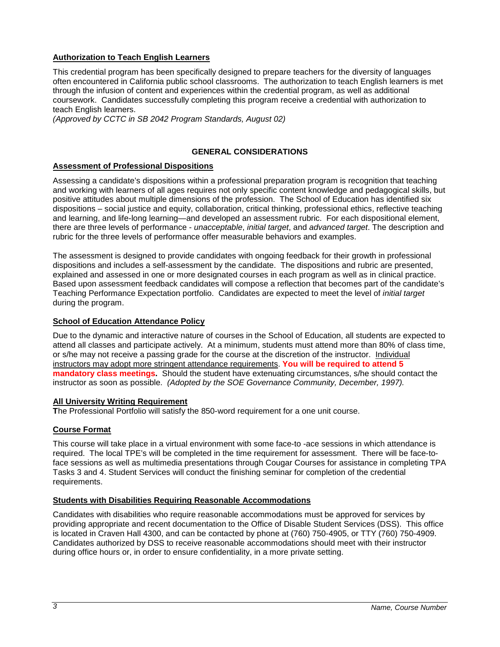## **Authorization to Teach English Learners**

This credential program has been specifically designed to prepare teachers for the diversity of languages often encountered in California public school classrooms. The authorization to teach English learners is met through the infusion of content and experiences within the credential program, as well as additional coursework. Candidates successfully completing this program receive a credential with authorization to teach English learners.

*(Approved by CCTC in SB 2042 Program Standards, August 02)*

# **GENERAL CONSIDERATIONS**

## **Assessment of Professional Dispositions**

Assessing a candidate's dispositions within a professional preparation program is recognition that teaching and working with learners of all ages requires not only specific content knowledge and pedagogical skills, but positive attitudes about multiple dimensions of the profession. The School of Education has identified six dispositions – social justice and equity, collaboration, critical thinking, professional ethics, reflective teaching and learning, and life-long learning—and developed an assessment rubric. For each dispositional element, there are three levels of performance - *unacceptable*, *initial target*, and *advanced target*. The description and rubric for the three levels of performance offer measurable behaviors and examples.

The assessment is designed to provide candidates with ongoing feedback for their growth in professional dispositions and includes a self-assessment by the candidate. The dispositions and rubric are presented, explained and assessed in one or more designated courses in each program as well as in clinical practice. Based upon assessment feedback candidates will compose a reflection that becomes part of the candidate's Teaching Performance Expectation portfolio. Candidates are expected to meet the level of *initial target* during the program.

## **School of Education Attendance Policy**

Due to the dynamic and interactive nature of courses in the School of Education, all students are expected to attend all classes and participate actively. At a minimum, students must attend more than 80% of class time, or s/he may not receive a passing grade for the course at the discretion of the instructor. Individual instructors may adopt more stringent attendance requirements. **You will be required to attend 5 mandatory class meetings.** Should the student have extenuating circumstances, s/he should contact the instructor as soon as possible. *(Adopted by the SOE Governance Community, December, 1997).*

## **All University Writing Requirement**

**T**he Professional Portfolio will satisfy the 850-word requirement for a one unit course.

## **Course Format**

This course will take place in a virtual environment with some face-to -ace sessions in which attendance is required. The local TPE's will be completed in the time requirement for assessment. There will be face-toface sessions as well as multimedia presentations through Cougar Courses for assistance in completing TPA Tasks 3 and 4. Student Services will conduct the finishing seminar for completion of the credential requirements.

## **Students with Disabilities Requiring Reasonable Accommodations**

Candidates with disabilities who require reasonable accommodations must be approved for services by providing appropriate and recent documentation to the Office of Disable Student Services (DSS). This office is located in Craven Hall 4300, and can be contacted by phone at (760) 750-4905, or TTY (760) 750-4909. Candidates authorized by DSS to receive reasonable accommodations should meet with their instructor during office hours or, in order to ensure confidentiality, in a more private setting.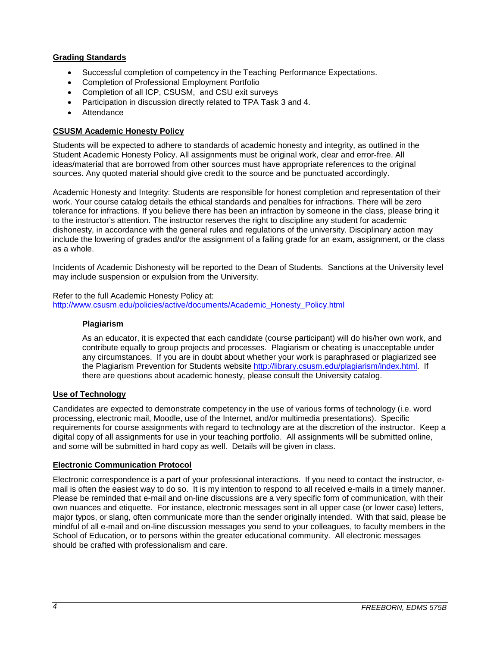# **Grading Standards**

- Successful completion of competency in the Teaching Performance Expectations.
- Completion of Professional Employment Portfolio
- Completion of all ICP, CSUSM, and CSU exit surveys
- Participation in discussion directly related to TPA Task 3 and 4.
- **Attendance**

# **CSUSM Academic Honesty Policy**

Students will be expected to adhere to standards of academic honesty and integrity, as outlined in the Student Academic Honesty Policy. All assignments must be original work, clear and error-free. All ideas/material that are borrowed from other sources must have appropriate references to the original sources. Any quoted material should give credit to the source and be punctuated accordingly.

Academic Honesty and Integrity: Students are responsible for honest completion and representation of their work. Your course catalog details the ethical standards and penalties for infractions. There will be zero tolerance for infractions. If you believe there has been an infraction by someone in the class, please bring it to the instructor's attention. The instructor reserves the right to discipline any student for academic dishonesty, in accordance with the general rules and regulations of the university. Disciplinary action may include the lowering of grades and/or the assignment of a failing grade for an exam, assignment, or the class as a whole.

Incidents of Academic Dishonesty will be reported to the Dean of Students. Sanctions at the University level may include suspension or expulsion from the University.

# Refer to the full Academic Honesty Policy at:

[http://www.csusm.edu/policies/active/documents/Academic\\_Honesty\\_Policy.html](http://www.csusm.edu/policies/active/documents/Academic_Honesty_Policy.html)

## **Plagiarism**

As an educator, it is expected that each candidate (course participant) will do his/her own work, and contribute equally to group projects and processes. Plagiarism or cheating is unacceptable under any circumstances. If you are in doubt about whether your work is paraphrased or plagiarized see the Plagiarism Prevention for Students website [http://library.csusm.edu/plagiarism/index.html.](http://library.csusm.edu/plagiarism/index.html) If there are questions about academic honesty, please consult the University catalog.

## **Use of Technology**

Candidates are expected to demonstrate competency in the use of various forms of technology (i.e. word processing, electronic mail, Moodle, use of the Internet, and/or multimedia presentations). Specific requirements for course assignments with regard to technology are at the discretion of the instructor. Keep a digital copy of all assignments for use in your teaching portfolio. All assignments will be submitted online, and some will be submitted in hard copy as well. Details will be given in class.

## **Electronic Communication Protocol**

Electronic correspondence is a part of your professional interactions. If you need to contact the instructor, email is often the easiest way to do so. It is my intention to respond to all received e-mails in a timely manner. Please be reminded that e-mail and on-line discussions are a very specific form of communication, with their own nuances and etiquette. For instance, electronic messages sent in all upper case (or lower case) letters, major typos, or slang, often communicate more than the sender originally intended. With that said, please be mindful of all e-mail and on-line discussion messages you send to your colleagues, to faculty members in the School of Education, or to persons within the greater educational community. All electronic messages should be crafted with professionalism and care.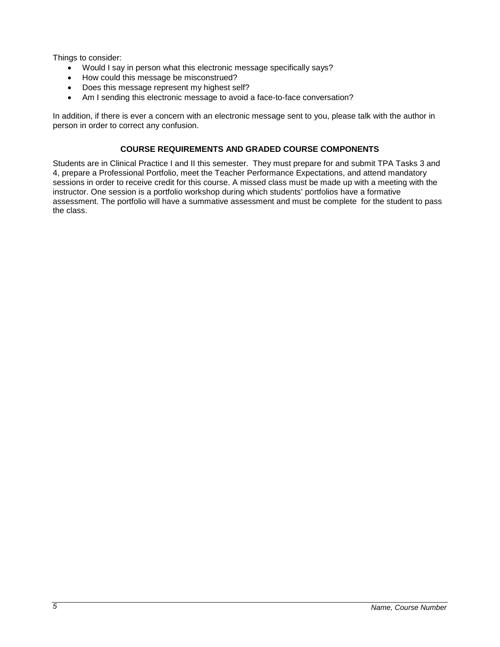Things to consider:

- Would I say in person what this electronic message specifically says?
- How could this message be misconstrued?
- Does this message represent my highest self?
- Am I sending this electronic message to avoid a face-to-face conversation?

In addition, if there is ever a concern with an electronic message sent to you, please talk with the author in person in order to correct any confusion.

# **COURSE REQUIREMENTS AND GRADED COURSE COMPONENTS**

Students are in Clinical Practice I and II this semester. They must prepare for and submit TPA Tasks 3 and 4, prepare a Professional Portfolio, meet the Teacher Performance Expectations, and attend mandatory sessions in order to receive credit for this course. A missed class must be made up with a meeting with the instructor. One session is a portfolio workshop during which students' portfolios have a formative assessment. The portfolio will have a summative assessment and must be complete for the student to pass the class.